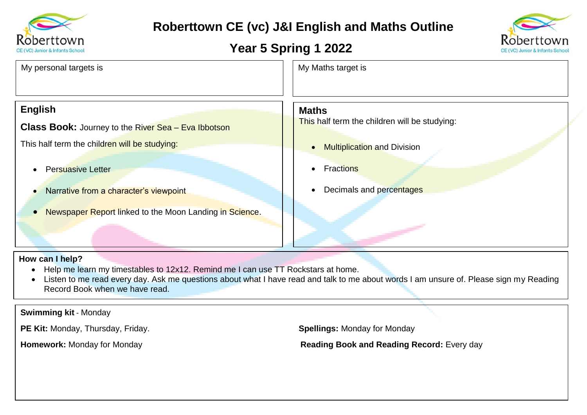

## **Roberttown CE (vc) J&I English and Maths Outline**

## **Year 5 Spring 1 2022**



| My personal targets is                                     | My Maths target is                              |  |
|------------------------------------------------------------|-------------------------------------------------|--|
| <b>English</b>                                             | <b>Maths</b>                                    |  |
| <b>Class Book:</b> Journey to the River Sea - Eva Ibbotson | This half term the children will be studying:   |  |
| This half term the children will be studying:              | <b>Multiplication and Division</b><br>$\bullet$ |  |
| <b>Persuasive Letter</b>                                   | <b>Fractions</b><br>$\bullet$                   |  |
| Narrative from a character's viewpoint                     | Decimals and percentages<br>$\bullet$           |  |
| Newspaper Report linked to the Moon Landing in Science.    |                                                 |  |

## **How can I help?**

- Help me learn my timestables to 12x12. Remind me I can use TT Rockstars at home.
- Listen to me read every day. Ask me questions about what I have read and talk to me about words I am unsure of. Please sign my Reading Record Book when we have read.

**Swimming kit** - Monday

**PE Kit:** Monday, Thursday, Friday. **Spellings:** Monday for Monday

**Homework:** Monday for Monday **Reading Book and Reading Record:** Every day